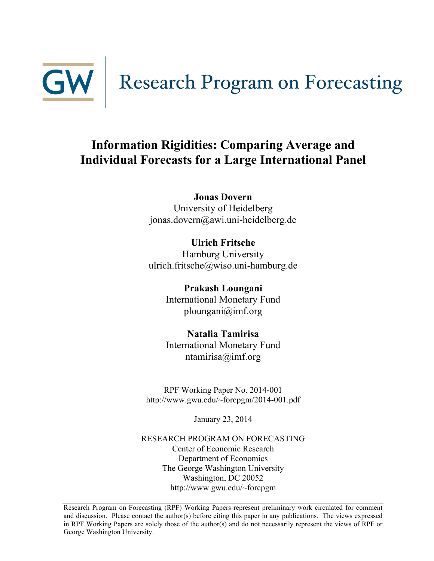

# GW Research Program on Forecasting

# **Information Rigidities: Comparing Average and Individual Forecasts for a Large International Panel**

**Jonas Dovern** University of Heidelberg jonas.dovern@awi.uni-heidelberg.de

**Ulrich Fritsche** Hamburg University ulrich.fritsche@wiso.uni-hamburg.de

> **Prakash Loungani** International Monetary Fund ploungani@imf.org

> **Natalia Tamirisa** International Monetary Fund ntamirisa@imf.org

RPF Working Paper No. 2014-001 http://www.gwu.edu/~forcpgm/2014-001.pdf

January 23, 2014

RESEARCH PROGRAM ON FORECASTING Center of Economic Research Department of Economics The George Washington University Washington, DC 20052 http://www.gwu.edu/~forcpgm

Research Program on Forecasting (RPF) Working Papers represent preliminary work circulated for comment and discussion. Please contact the author(s) before citing this paper in any publications. The views expressed in RPF Working Papers are solely those of the author(s) and do not necessarily represent the views of RPF or George Washington University.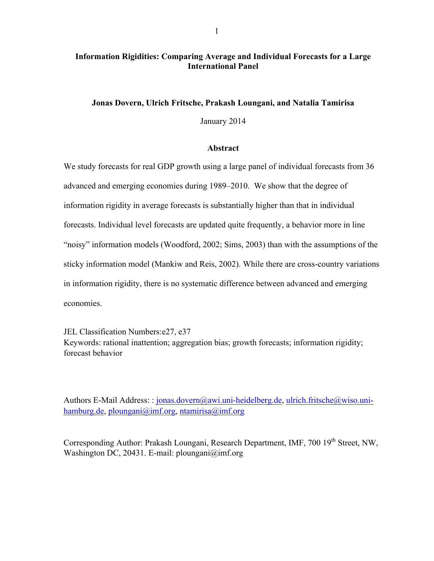# **Information Rigidities: Comparing Average and Individual Forecasts for a Large International Panel**

# **Jonas Dovern, Ulrich Fritsche, Prakash Loungani, and Natalia Tamirisa**

January 2014

# **Abstract**

We study forecasts for real GDP growth using a large panel of individual forecasts from 36 advanced and emerging economies during 1989–2010. We show that the degree of information rigidity in average forecasts is substantially higher than that in individual forecasts. Individual level forecasts are updated quite frequently, a behavior more in line "noisy" information models (Woodford, 2002; Sims, 2003) than with the assumptions of the sticky information model (Mankiw and Reis, 2002). While there are cross-country variations in information rigidity, there is no systematic difference between advanced and emerging economies.

JEL Classification Numbers:e27, e37

Keywords: rational inattention; aggregation bias; growth forecasts; information rigidity; forecast behavior

Authors E-Mail Address: : jonas.dovern@awi.uni-heidelberg.de, ulrich.fritsche@wiso.unihamburg.de, ploungani@imf.org, ntamirisa@imf.org

Corresponding Author: Prakash Loungani, Research Department, IMF, 700 19<sup>th</sup> Street, NW, Washington DC, 20431. E-mail: ploungani@imf.org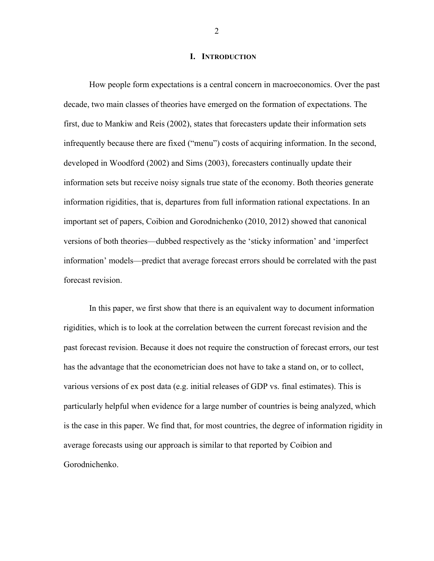#### **I. INTRODUCTION**

How people form expectations is a central concern in macroeconomics. Over the past decade, two main classes of theories have emerged on the formation of expectations. The first, due to Mankiw and Reis (2002), states that forecasters update their information sets infrequently because there are fixed ("menu") costs of acquiring information. In the second, developed in Woodford (2002) and Sims (2003), forecasters continually update their information sets but receive noisy signals true state of the economy. Both theories generate information rigidities, that is, departures from full information rational expectations. In an important set of papers, Coibion and Gorodnichenko (2010, 2012) showed that canonical versions of both theories—dubbed respectively as the 'sticky information' and 'imperfect information' models—predict that average forecast errors should be correlated with the past forecast revision.

In this paper, we first show that there is an equivalent way to document information rigidities, which is to look at the correlation between the current forecast revision and the past forecast revision. Because it does not require the construction of forecast errors, our test has the advantage that the econometrician does not have to take a stand on, or to collect, various versions of ex post data (e.g. initial releases of GDP vs. final estimates). This is particularly helpful when evidence for a large number of countries is being analyzed, which is the case in this paper. We find that, for most countries, the degree of information rigidity in average forecasts using our approach is similar to that reported by Coibion and Gorodnichenko.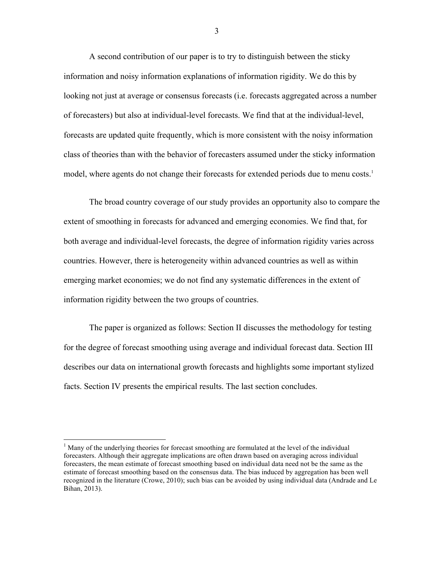A second contribution of our paper is to try to distinguish between the sticky information and noisy information explanations of information rigidity. We do this by looking not just at average or consensus forecasts (i.e. forecasts aggregated across a number of forecasters) but also at individual-level forecasts. We find that at the individual-level, forecasts are updated quite frequently, which is more consistent with the noisy information class of theories than with the behavior of forecasters assumed under the sticky information model, where agents do not change their forecasts for extended periods due to menu costs.<sup>1</sup>

The broad country coverage of our study provides an opportunity also to compare the extent of smoothing in forecasts for advanced and emerging economies. We find that, for both average and individual-level forecasts, the degree of information rigidity varies across countries. However, there is heterogeneity within advanced countries as well as within emerging market economies; we do not find any systematic differences in the extent of information rigidity between the two groups of countries.

The paper is organized as follows: Section II discusses the methodology for testing for the degree of forecast smoothing using average and individual forecast data. Section III describes our data on international growth forecasts and highlights some important stylized facts. Section IV presents the empirical results. The last section concludes.

 $<sup>1</sup>$  Many of the underlying theories for forecast smoothing are formulated at the level of the individual</sup> forecasters. Although their aggregate implications are often drawn based on averaging across individual forecasters, the mean estimate of forecast smoothing based on individual data need not be the same as the estimate of forecast smoothing based on the consensus data. The bias induced by aggregation has been well recognized in the literature (Crowe, 2010); such bias can be avoided by using individual data (Andrade and Le Bihan, 2013).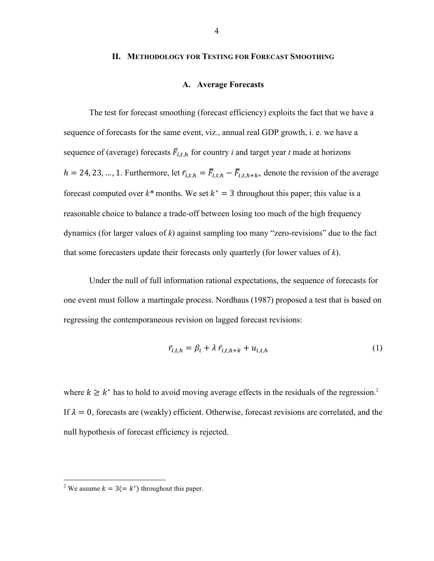#### **II. METHODOLOGY FOR TESTING FOR FORECAST SMOOTHING**

# **A. Average Forecasts**

The test for forecast smoothing (forecast efficiency) exploits the fact that we have a sequence of forecasts for the same event, viz., annual real GDP growth, i. e. we have a sequence of (average) forecasts  $\overline{F}_{i,t,h}$  for country *i* and target year *t* made at horizons  $h = 24, 23, ..., 1$ . Furthermore, let  $\overline{r}_{i,t,h} = \overline{F}_{i,t,h} - \overline{F}_{i,t,h+k*}$  denote the revision of the average forecast computed over  $k^*$  months. We set  $k^* = 3$  throughout this paper; this value is a reasonable choice to balance a trade-off between losing too much of the high frequency dynamics (for larger values of *k*) against sampling too many "zero-revisions" due to the fact that some forecasters update their forecasts only quarterly (for lower values of *k*).

Under the null of full information rational expectations, the sequence of forecasts for one event must follow a martingale process. Nordhaus (1987) proposed a test that is based on regressing the contemporaneous revision on lagged forecast revisions:

$$
\bar{r}_{i,t,h} = \beta_i + \lambda \, \bar{r}_{i,t,h+k} + u_{i,t,h} \tag{1}
$$

where  $k \geq k^*$  has to hold to avoid moving average effects in the residuals of the regression.<sup>2</sup> If  $\lambda = 0$ , forecasts are (weakly) efficient. Otherwise, forecast revisions are correlated, and the null hypothesis of forecast efficiency is rejected.

<sup>&</sup>lt;sup>2</sup> We assume  $k = 3 (= k^*)$  throughout this paper.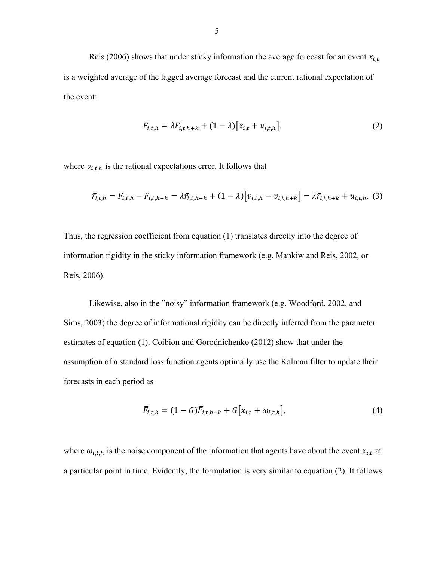Reis (2006) shows that under sticky information the average forecast for an event  $x_{i,t}$ is a weighted average of the lagged average forecast and the current rational expectation of the event:

$$
\overline{F}_{i,t,h} = \lambda \overline{F}_{i,t,h+k} + (1 - \lambda) \big[ x_{i,t} + v_{i,t,h} \big],\tag{2}
$$

where  $v_{i,t,h}$  is the rational expectations error. It follows that

$$
\bar{r}_{i,t,h} = \bar{F}_{i,t,h} - \bar{F}_{i,t,h+k} = \lambda \bar{r}_{i,t,h+k} + (1 - \lambda) \left[ \nu_{i,t,h} - \nu_{i,t,h+k} \right] = \lambda \bar{r}_{i,t,h+k} + u_{i,t,h}.
$$
 (3)

Thus, the regression coefficient from equation (1) translates directly into the degree of information rigidity in the sticky information framework (e.g. Mankiw and Reis, 2002, or Reis, 2006).

Likewise, also in the "noisy" information framework (e.g. Woodford, 2002, and Sims, 2003) the degree of informational rigidity can be directly inferred from the parameter estimates of equation (1). Coibion and Gorodnichenko (2012) show that under the assumption of a standard loss function agents optimally use the Kalman filter to update their forecasts in each period as

$$
\bar{F}_{i,t,h} = (1 - G)\bar{F}_{i,t,h+k} + G[x_{i,t} + \omega_{i,t,h}],
$$
\n(4)

where  $\omega_{i,t,h}$  is the noise component of the information that agents have about the event  $x_{i,t}$  at a particular point in time. Evidently, the formulation is very similar to equation (2). It follows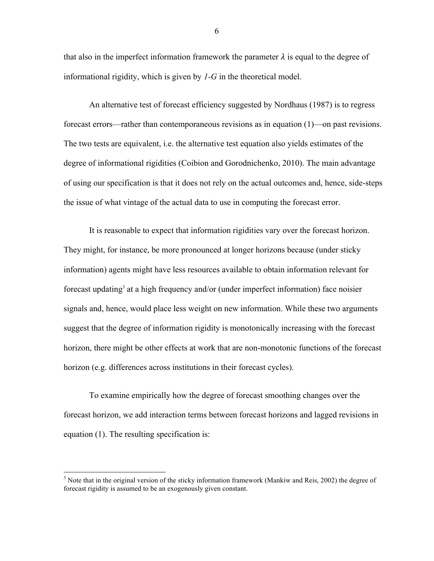that also in the imperfect information framework the parameter  $\lambda$  is equal to the degree of informational rigidity, which is given by *1-G* in the theoretical model.

An alternative test of forecast efficiency suggested by Nordhaus (1987) is to regress forecast errors—rather than contemporaneous revisions as in equation (1)—on past revisions. The two tests are equivalent, i.e. the alternative test equation also yields estimates of the degree of informational rigidities (Coibion and Gorodnichenko, 2010). The main advantage of using our specification is that it does not rely on the actual outcomes and, hence, side-steps the issue of what vintage of the actual data to use in computing the forecast error.

It is reasonable to expect that information rigidities vary over the forecast horizon. They might, for instance, be more pronounced at longer horizons because (under sticky information) agents might have less resources available to obtain information relevant for forecast updating<sup>3</sup> at a high frequency and/or (under imperfect information) face noisier signals and, hence, would place less weight on new information. While these two arguments suggest that the degree of information rigidity is monotonically increasing with the forecast horizon, there might be other effects at work that are non-monotonic functions of the forecast horizon (e.g. differences across institutions in their forecast cycles).

To examine empirically how the degree of forecast smoothing changes over the forecast horizon, we add interaction terms between forecast horizons and lagged revisions in equation (1). The resulting specification is:

 $3$  Note that in the original version of the sticky information framework (Mankiw and Reis, 2002) the degree of forecast rigidity is assumed to be an exogenously given constant.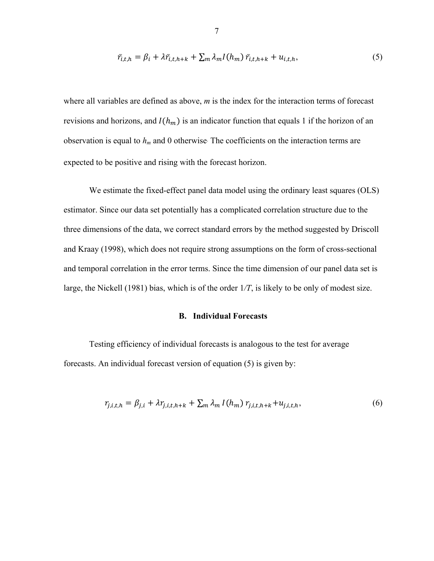$$
\bar{r}_{i,t,h} = \beta_i + \lambda \bar{r}_{i,t,h+k} + \sum_m \lambda_m I(h_m) \bar{r}_{i,t,h+k} + u_{i,t,h},
$$
\n<sup>(5)</sup>

where all variables are defined as above, *m* is the index for the interaction terms of forecast revisions and horizons, and  $I(h_m)$  is an indicator function that equals 1 if the horizon of an observation is equal to  $h_m$  and 0 otherwise. The coefficients on the interaction terms are expected to be positive and rising with the forecast horizon.

We estimate the fixed-effect panel data model using the ordinary least squares (OLS) estimator. Since our data set potentially has a complicated correlation structure due to the three dimensions of the data, we correct standard errors by the method suggested by Driscoll and Kraay (1998), which does not require strong assumptions on the form of cross-sectional and temporal correlation in the error terms. Since the time dimension of our panel data set is large, the Nickell (1981) bias, which is of the order 1*/T*, is likely to be only of modest size.

# **B. Individual Forecasts**

Testing efficiency of individual forecasts is analogous to the test for average forecasts. An individual forecast version of equation (5) is given by:

$$
r_{j,i,t,h} = \beta_{j,i} + \lambda r_{j,i,t,h+k} + \sum_{m} \lambda_m I(h_m) r_{j,i,t,h+k} + u_{j,i,t,h},
$$
(6)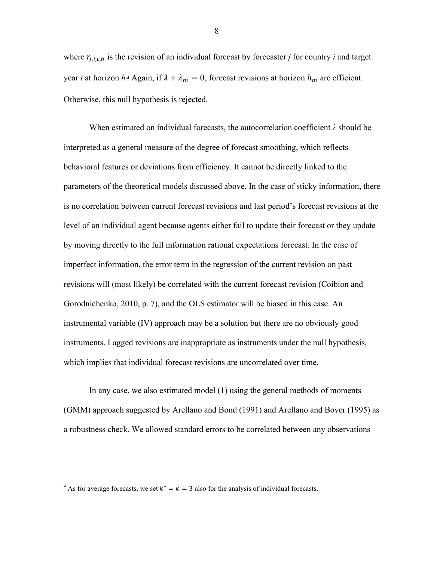where  $r_{i,i,t,h}$  is the revision of an individual forecast by forecaster *j* for country *i* and target year *t* at horizon *h*<sup>4</sup> Again, if  $\lambda + \lambda_m = 0$ , forecast revisions at horizon  $h_m$  are efficient. Otherwise, this null hypothesis is rejected.

When estimated on individual forecasts, the autocorrelation coefficient *λ* should be interpreted as a general measure of the degree of forecast smoothing, which reflects behavioral features or deviations from efficiency. It cannot be directly linked to the parameters of the theoretical models discussed above. In the case of sticky information, there is no correlation between current forecast revisions and last period's forecast revisions at the level of an individual agent because agents either fail to update their forecast or they update by moving directly to the full information rational expectations forecast. In the case of imperfect information, the error term in the regression of the current revision on past revisions will (most likely) be correlated with the current forecast revision (Coibion and Gorodnichenko, 2010, p. 7), and the OLS estimator will be biased in this case. An instrumental variable (IV) approach may be a solution but there are no obviously good instruments. Lagged revisions are inappropriate as instruments under the null hypothesis, which implies that individual forecast revisions are uncorrelated over time.

In any case, we also estimated model (1) using the general methods of moments (GMM) approach suggested by Arellano and Bond (1991) and Arellano and Bover (1995) as a robustness check. We allowed standard errors to be correlated between any observations

<sup>&</sup>lt;sup>4</sup> As for average forecasts, we set  $k^* = k = 3$  also for the analysis of individual forecasts.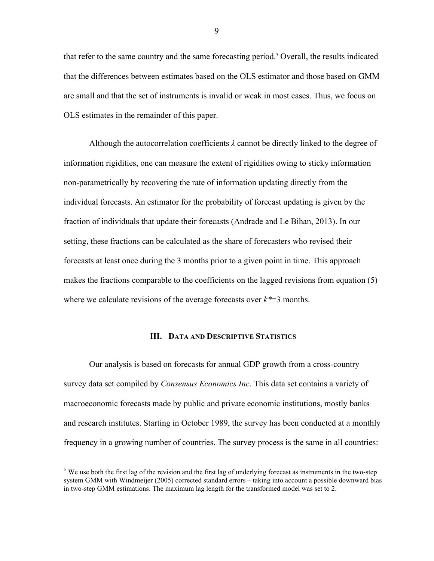that refer to the same country and the same forecasting period.<sup>5</sup> Overall, the results indicated that the differences between estimates based on the OLS estimator and those based on GMM are small and that the set of instruments is invalid or weak in most cases. Thus, we focus on OLS estimates in the remainder of this paper.

Although the autocorrelation coefficients *λ* cannot be directly linked to the degree of information rigidities, one can measure the extent of rigidities owing to sticky information non-parametrically by recovering the rate of information updating directly from the individual forecasts. An estimator for the probability of forecast updating is given by the fraction of individuals that update their forecasts (Andrade and Le Bihan, 2013). In our setting, these fractions can be calculated as the share of forecasters who revised their forecasts at least once during the 3 months prior to a given point in time. This approach makes the fractions comparable to the coefficients on the lagged revisions from equation (5) where we calculate revisions of the average forecasts over  $k^*=3$  months.

# **III. DATA AND DESCRIPTIVE STATISTICS**

Our analysis is based on forecasts for annual GDP growth from a cross-country survey data set compiled by *Consensus Economics Inc*. This data set contains a variety of macroeconomic forecasts made by public and private economic institutions, mostly banks and research institutes. Starting in October 1989, the survey has been conducted at a monthly frequency in a growing number of countries. The survey process is the same in all countries:

<sup>&</sup>lt;sup>5</sup> We use both the first lag of the revision and the first lag of underlying forecast as instruments in the two-step system GMM with Windmeijer (2005) corrected standard errors – taking into account a possible downward bias in two-step GMM estimations. The maximum lag length for the transformed model was set to 2.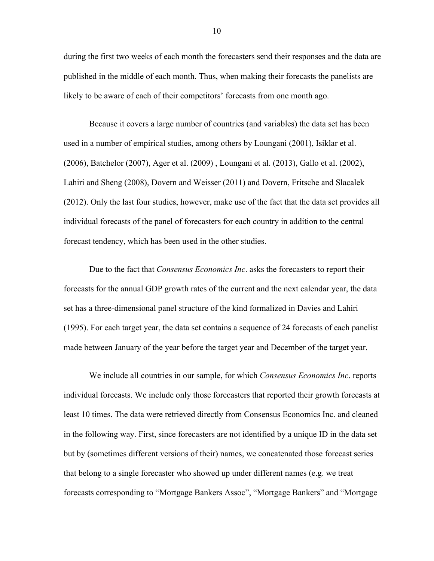during the first two weeks of each month the forecasters send their responses and the data are published in the middle of each month. Thus, when making their forecasts the panelists are likely to be aware of each of their competitors' forecasts from one month ago.

Because it covers a large number of countries (and variables) the data set has been used in a number of empirical studies, among others by Loungani (2001), Isiklar et al. (2006), Batchelor (2007), Ager et al. (2009) , Loungani et al. (2013), Gallo et al. (2002), Lahiri and Sheng (2008), Dovern and Weisser (2011) and Dovern, Fritsche and Slacalek (2012). Only the last four studies, however, make use of the fact that the data set provides all individual forecasts of the panel of forecasters for each country in addition to the central forecast tendency, which has been used in the other studies.

Due to the fact that *Consensus Economics Inc*. asks the forecasters to report their forecasts for the annual GDP growth rates of the current and the next calendar year, the data set has a three-dimensional panel structure of the kind formalized in Davies and Lahiri (1995). For each target year, the data set contains a sequence of 24 forecasts of each panelist made between January of the year before the target year and December of the target year.

We include all countries in our sample, for which *Consensus Economics Inc*. reports individual forecasts. We include only those forecasters that reported their growth forecasts at least 10 times. The data were retrieved directly from Consensus Economics Inc. and cleaned in the following way. First, since forecasters are not identified by a unique ID in the data set but by (sometimes different versions of their) names, we concatenated those forecast series that belong to a single forecaster who showed up under different names (e.g. we treat forecasts corresponding to "Mortgage Bankers Assoc", "Mortgage Bankers" and "Mortgage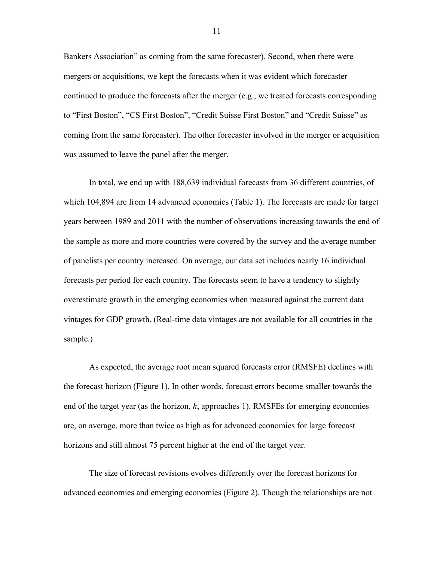Bankers Association" as coming from the same forecaster). Second, when there were mergers or acquisitions, we kept the forecasts when it was evident which forecaster continued to produce the forecasts after the merger (e.g., we treated forecasts corresponding to "First Boston", "CS First Boston", "Credit Suisse First Boston" and "Credit Suisse" as coming from the same forecaster). The other forecaster involved in the merger or acquisition was assumed to leave the panel after the merger.

In total, we end up with 188,639 individual forecasts from 36 different countries, of which 104,894 are from 14 advanced economies (Table 1). The forecasts are made for target years between 1989 and 2011 with the number of observations increasing towards the end of the sample as more and more countries were covered by the survey and the average number of panelists per country increased. On average, our data set includes nearly 16 individual forecasts per period for each country. The forecasts seem to have a tendency to slightly overestimate growth in the emerging economies when measured against the current data vintages for GDP growth. (Real-time data vintages are not available for all countries in the sample.)

As expected, the average root mean squared forecasts error (RMSFE) declines with the forecast horizon (Figure 1). In other words, forecast errors become smaller towards the end of the target year (as the horizon, *h*, approaches 1). RMSFEs for emerging economies are, on average, more than twice as high as for advanced economies for large forecast horizons and still almost 75 percent higher at the end of the target year.

The size of forecast revisions evolves differently over the forecast horizons for advanced economies and emerging economies (Figure 2). Though the relationships are not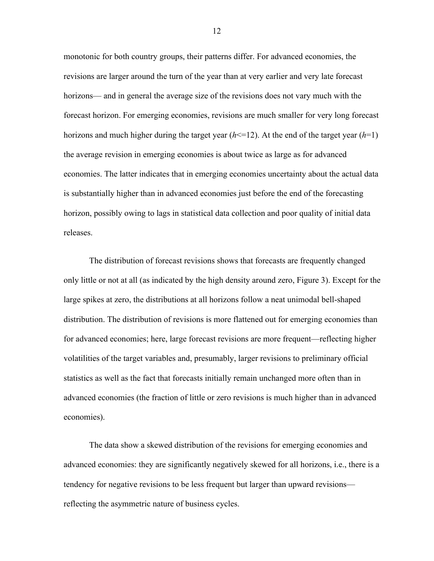monotonic for both country groups, their patterns differ. For advanced economies, the revisions are larger around the turn of the year than at very earlier and very late forecast horizons— and in general the average size of the revisions does not vary much with the forecast horizon. For emerging economies, revisions are much smaller for very long forecast horizons and much higher during the target year  $(h \le 12)$ . At the end of the target year  $(h=1)$ the average revision in emerging economies is about twice as large as for advanced economies. The latter indicates that in emerging economies uncertainty about the actual data is substantially higher than in advanced economies just before the end of the forecasting horizon, possibly owing to lags in statistical data collection and poor quality of initial data releases.

The distribution of forecast revisions shows that forecasts are frequently changed only little or not at all (as indicated by the high density around zero, Figure 3). Except for the large spikes at zero, the distributions at all horizons follow a neat unimodal bell-shaped distribution. The distribution of revisions is more flattened out for emerging economies than for advanced economies; here, large forecast revisions are more frequent—reflecting higher volatilities of the target variables and, presumably, larger revisions to preliminary official statistics as well as the fact that forecasts initially remain unchanged more often than in advanced economies (the fraction of little or zero revisions is much higher than in advanced economies).

The data show a skewed distribution of the revisions for emerging economies and advanced economies: they are significantly negatively skewed for all horizons, i.e., there is a tendency for negative revisions to be less frequent but larger than upward revisions reflecting the asymmetric nature of business cycles.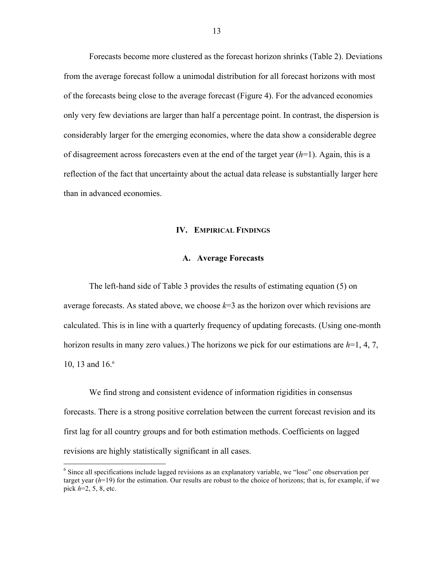Forecasts become more clustered as the forecast horizon shrinks (Table 2). Deviations from the average forecast follow a unimodal distribution for all forecast horizons with most of the forecasts being close to the average forecast (Figure 4). For the advanced economies only very few deviations are larger than half a percentage point. In contrast, the dispersion is considerably larger for the emerging economies, where the data show a considerable degree of disagreement across forecasters even at the end of the target year (*h*=1). Again, this is a reflection of the fact that uncertainty about the actual data release is substantially larger here than in advanced economies.

# **IV. EMPIRICAL FINDINGS**

# **A. Average Forecasts**

The left-hand side of Table 3 provides the results of estimating equation (5) on average forecasts. As stated above, we choose *k*=3 as the horizon over which revisions are calculated. This is in line with a quarterly frequency of updating forecasts. (Using one-month horizon results in many zero values.) The horizons we pick for our estimations are *h*=1, 4, 7, 10, 13 and 16.<sup>6</sup>

We find strong and consistent evidence of information rigidities in consensus forecasts. There is a strong positive correlation between the current forecast revision and its first lag for all country groups and for both estimation methods. Coefficients on lagged revisions are highly statistically significant in all cases.

<sup>&</sup>lt;sup>6</sup> Since all specifications include lagged revisions as an explanatory variable, we "lose" one observation per target year  $(h=19)$  for the estimation. Our results are robust to the choice of horizons; that is, for example, if we pick *h*=2, 5, 8, etc.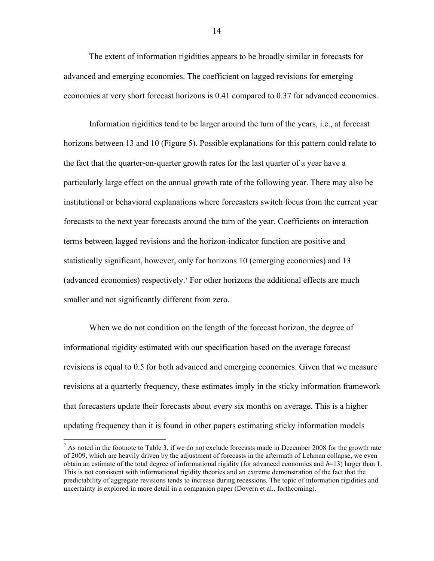The extent of information rigidities appears to be broadly similar in forecasts for advanced and emerging economies. The coefficient on lagged revisions for emerging economies at very short forecast horizons is 0.41 compared to 0.37 for advanced economies.

Information rigidities tend to be larger around the turn of the years, i.e., at forecast horizons between 13 and 10 (Figure 5). Possible explanations for this pattern could relate to the fact that the quarter-on-quarter growth rates for the last quarter of a year have a particularly large effect on the annual growth rate of the following year. There may also be institutional or behavioral explanations where forecasters switch focus from the current year forecasts to the next year forecasts around the turn of the year. Coefficients on interaction terms between lagged revisions and the horizon-indicator function are positive and statistically significant, however, only for horizons 10 (emerging economies) and 13 (advanced economies) respectively.7 For other horizons the additional effects are much smaller and not significantly different from zero.

When we do not condition on the length of the forecast horizon, the degree of informational rigidity estimated with our specification based on the average forecast revisions is equal to 0.5 for both advanced and emerging economies. Given that we measure revisions at a quarterly frequency, these estimates imply in the sticky information framework that forecasters update their forecasts about every six months on average. This is a higher updating frequency than it is found in other papers estimating sticky information models

 $^7$  As noted in the footnote to Table 3, if we do not exclude forecasts made in December 2008 for the growth rate of 2009, which are heavily driven by the adjustment of forecasts in the aftermath of Lehman collapse, we even obtain an estimate of the total degree of informational rigidity (for advanced economies and *h*=13) larger than 1. This is not consistent with informational rigidity theories and an extreme demonstration of the fact that the predictability of aggregate revisions tends to increase during recessions. The topic of information rigidities and uncertainty is explored in more detail in a companion paper (Dovern et al., forthcoming).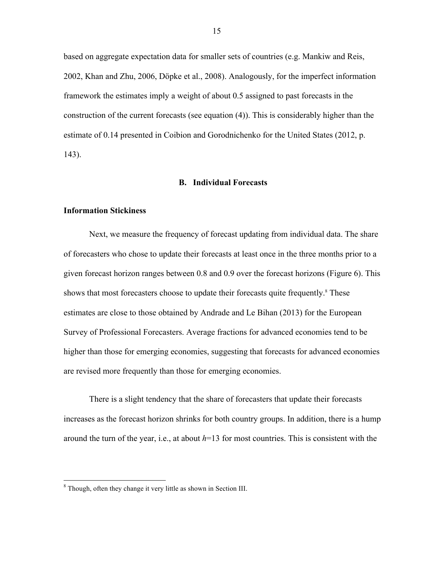based on aggregate expectation data for smaller sets of countries (e.g. Mankiw and Reis, 2002, Khan and Zhu, 2006, Döpke et al., 2008). Analogously, for the imperfect information framework the estimates imply a weight of about 0.5 assigned to past forecasts in the construction of the current forecasts (see equation (4)). This is considerably higher than the estimate of 0.14 presented in Coibion and Gorodnichenko for the United States (2012, p. 143).

#### **B. Individual Forecasts**

# **Information Stickiness**

Next, we measure the frequency of forecast updating from individual data. The share of forecasters who chose to update their forecasts at least once in the three months prior to a given forecast horizon ranges between 0.8 and 0.9 over the forecast horizons (Figure 6). This shows that most forecasters choose to update their forecasts quite frequently.<sup>8</sup> These estimates are close to those obtained by Andrade and Le Bihan (2013) for the European Survey of Professional Forecasters. Average fractions for advanced economies tend to be higher than those for emerging economies, suggesting that forecasts for advanced economies are revised more frequently than those for emerging economies.

There is a slight tendency that the share of forecasters that update their forecasts increases as the forecast horizon shrinks for both country groups. In addition, there is a hump around the turn of the year, i.e., at about *h*=13 for most countries. This is consistent with the

 <sup>8</sup> Though, often they change it very little as shown in Section III.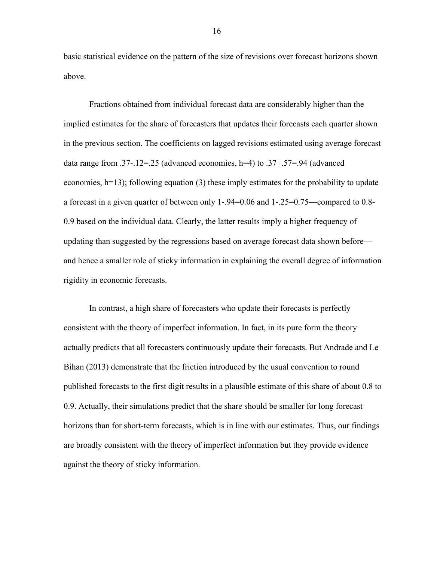basic statistical evidence on the pattern of the size of revisions over forecast horizons shown above.

Fractions obtained from individual forecast data are considerably higher than the implied estimates for the share of forecasters that updates their forecasts each quarter shown in the previous section. The coefficients on lagged revisions estimated using average forecast data range from .37-.12=.25 (advanced economies, h=4) to .37+.57=.94 (advanced economies, h=13); following equation (3) these imply estimates for the probability to update a forecast in a given quarter of between only 1-.94=0.06 and 1-.25=0.75—compared to 0.8- 0.9 based on the individual data. Clearly, the latter results imply a higher frequency of updating than suggested by the regressions based on average forecast data shown before and hence a smaller role of sticky information in explaining the overall degree of information rigidity in economic forecasts.

In contrast, a high share of forecasters who update their forecasts is perfectly consistent with the theory of imperfect information. In fact, in its pure form the theory actually predicts that all forecasters continuously update their forecasts. But Andrade and Le Bihan (2013) demonstrate that the friction introduced by the usual convention to round published forecasts to the first digit results in a plausible estimate of this share of about 0.8 to 0.9. Actually, their simulations predict that the share should be smaller for long forecast horizons than for short-term forecasts, which is in line with our estimates. Thus, our findings are broadly consistent with the theory of imperfect information but they provide evidence against the theory of sticky information.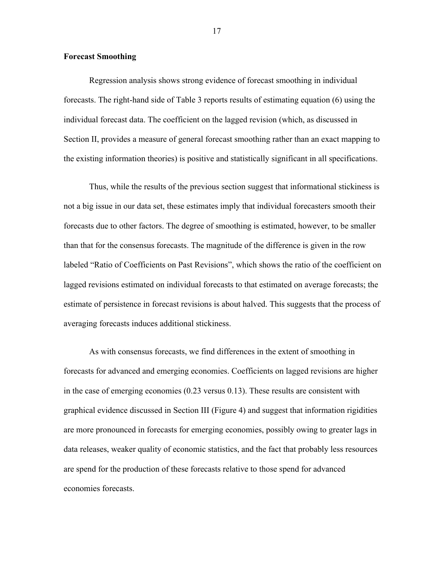# **Forecast Smoothing**

Regression analysis shows strong evidence of forecast smoothing in individual forecasts. The right-hand side of Table 3 reports results of estimating equation (6) using the individual forecast data. The coefficient on the lagged revision (which, as discussed in Section II, provides a measure of general forecast smoothing rather than an exact mapping to the existing information theories) is positive and statistically significant in all specifications.

Thus, while the results of the previous section suggest that informational stickiness is not a big issue in our data set, these estimates imply that individual forecasters smooth their forecasts due to other factors. The degree of smoothing is estimated, however, to be smaller than that for the consensus forecasts. The magnitude of the difference is given in the row labeled "Ratio of Coefficients on Past Revisions", which shows the ratio of the coefficient on lagged revisions estimated on individual forecasts to that estimated on average forecasts; the estimate of persistence in forecast revisions is about halved. This suggests that the process of averaging forecasts induces additional stickiness.

As with consensus forecasts, we find differences in the extent of smoothing in forecasts for advanced and emerging economies. Coefficients on lagged revisions are higher in the case of emerging economies (0.23 versus 0.13). These results are consistent with graphical evidence discussed in Section III (Figure 4) and suggest that information rigidities are more pronounced in forecasts for emerging economies, possibly owing to greater lags in data releases, weaker quality of economic statistics, and the fact that probably less resources are spend for the production of these forecasts relative to those spend for advanced economies forecasts.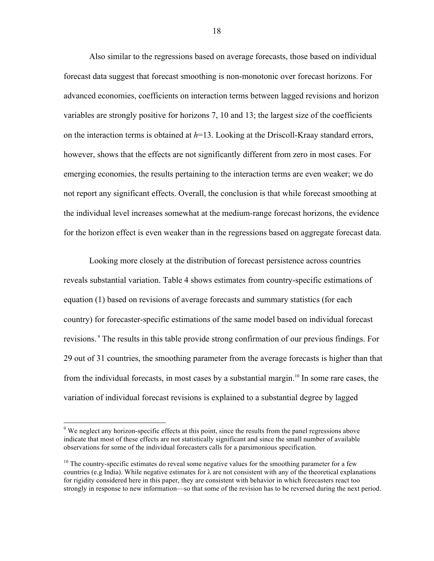Also similar to the regressions based on average forecasts, those based on individual forecast data suggest that forecast smoothing is non-monotonic over forecast horizons. For advanced economies, coefficients on interaction terms between lagged revisions and horizon variables are strongly positive for horizons 7, 10 and 13; the largest size of the coefficients on the interaction terms is obtained at *h*=13. Looking at the Driscoll-Kraay standard errors, however, shows that the effects are not significantly different from zero in most cases. For emerging economies, the results pertaining to the interaction terms are even weaker; we do not report any significant effects. Overall, the conclusion is that while forecast smoothing at the individual level increases somewhat at the medium-range forecast horizons, the evidence for the horizon effect is even weaker than in the regressions based on aggregate forecast data.

Looking more closely at the distribution of forecast persistence across countries reveals substantial variation. Table 4 shows estimates from country-specific estimations of equation (1) based on revisions of average forecasts and summary statistics (for each country) for forecaster-specific estimations of the same model based on individual forecast revisions. <sup>9</sup> The results in this table provide strong confirmation of our previous findings. For 29 out of 31 countries, the smoothing parameter from the average forecasts is higher than that from the individual forecasts, in most cases by a substantial margin.<sup>10</sup> In some rare cases, the variation of individual forecast revisions is explained to a substantial degree by lagged

<sup>&</sup>lt;sup>9</sup> We neglect any horizon-specific effects at this point, since the results from the panel regressions above indicate that most of these effects are not statistically significant and since the small number of available observations for some of the individual forecasters calls for a parsimonious specification.

 $10$  The country-specific estimates do reveal some negative values for the smoothing parameter for a few countries (e.g India). While negative estimates for  $\lambda$  are not consistent with any of the theoretical explanations for rigidity considered here in this paper, they are consistent with behavior in which forecasters react too strongly in response to new information—so that some of the revision has to be reversed during the next period.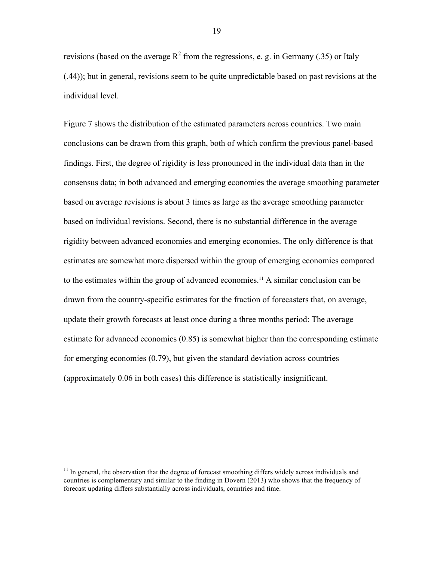revisions (based on the average  $R^2$  from the regressions, e. g. in Germany (.35) or Italy (.44)); but in general, revisions seem to be quite unpredictable based on past revisions at the individual level.

Figure 7 shows the distribution of the estimated parameters across countries. Two main conclusions can be drawn from this graph, both of which confirm the previous panel-based findings. First, the degree of rigidity is less pronounced in the individual data than in the consensus data; in both advanced and emerging economies the average smoothing parameter based on average revisions is about 3 times as large as the average smoothing parameter based on individual revisions. Second, there is no substantial difference in the average rigidity between advanced economies and emerging economies. The only difference is that estimates are somewhat more dispersed within the group of emerging economies compared to the estimates within the group of advanced economies.<sup>11</sup> A similar conclusion can be drawn from the country-specific estimates for the fraction of forecasters that, on average, update their growth forecasts at least once during a three months period: The average estimate for advanced economies (0.85) is somewhat higher than the corresponding estimate for emerging economies (0.79), but given the standard deviation across countries (approximately 0.06 in both cases) this difference is statistically insignificant.

 $11$  In general, the observation that the degree of forecast smoothing differs widely across individuals and countries is complementary and similar to the finding in Dovern (2013) who shows that the frequency of forecast updating differs substantially across individuals, countries and time.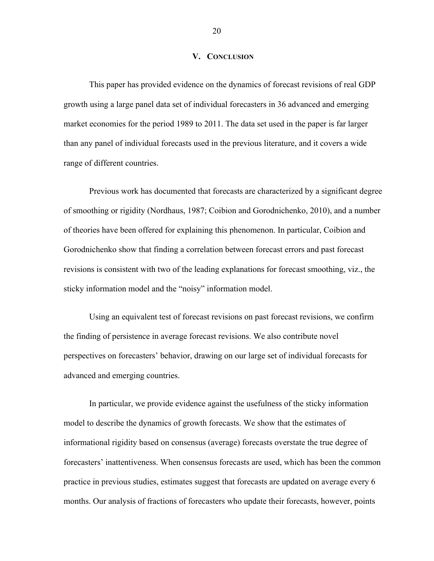#### **V. CONCLUSION**

This paper has provided evidence on the dynamics of forecast revisions of real GDP growth using a large panel data set of individual forecasters in 36 advanced and emerging market economies for the period 1989 to 2011. The data set used in the paper is far larger than any panel of individual forecasts used in the previous literature, and it covers a wide range of different countries.

Previous work has documented that forecasts are characterized by a significant degree of smoothing or rigidity (Nordhaus, 1987; Coibion and Gorodnichenko, 2010), and a number of theories have been offered for explaining this phenomenon. In particular, Coibion and Gorodnichenko show that finding a correlation between forecast errors and past forecast revisions is consistent with two of the leading explanations for forecast smoothing, viz., the sticky information model and the "noisy" information model.

Using an equivalent test of forecast revisions on past forecast revisions, we confirm the finding of persistence in average forecast revisions. We also contribute novel perspectives on forecasters' behavior, drawing on our large set of individual forecasts for advanced and emerging countries.

In particular, we provide evidence against the usefulness of the sticky information model to describe the dynamics of growth forecasts. We show that the estimates of informational rigidity based on consensus (average) forecasts overstate the true degree of forecasters' inattentiveness. When consensus forecasts are used, which has been the common practice in previous studies, estimates suggest that forecasts are updated on average every 6 months. Our analysis of fractions of forecasters who update their forecasts, however, points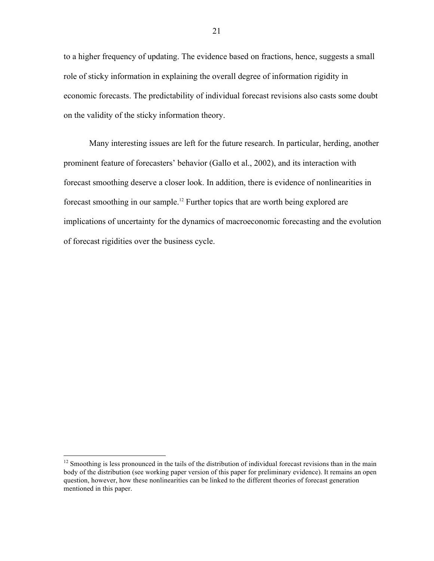to a higher frequency of updating. The evidence based on fractions, hence, suggests a small role of sticky information in explaining the overall degree of information rigidity in economic forecasts. The predictability of individual forecast revisions also casts some doubt on the validity of the sticky information theory.

Many interesting issues are left for the future research. In particular, herding, another prominent feature of forecasters' behavior (Gallo et al., 2002), and its interaction with forecast smoothing deserve a closer look. In addition, there is evidence of nonlinearities in forecast smoothing in our sample. <sup>12</sup> Further topics that are worth being explored are implications of uncertainty for the dynamics of macroeconomic forecasting and the evolution of forecast rigidities over the business cycle.

 $12$  Smoothing is less pronounced in the tails of the distribution of individual forecast revisions than in the main body of the distribution (see working paper version of this paper for preliminary evidence). It remains an open question, however, how these nonlinearities can be linked to the different theories of forecast generation mentioned in this paper.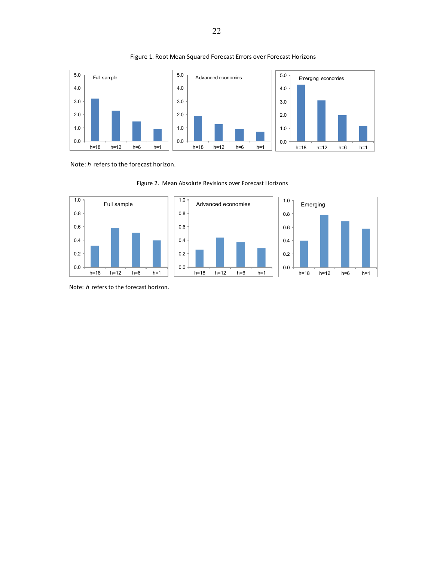

#### Figure 1. Root Mean Squared Forecast Errors over Forecast Horizons

Note: *h* refers to the forecast horizon.



Figure 2. Mean Absolute Revisions over Forecast Horizons

Note: *h* refers to the forecast horizon.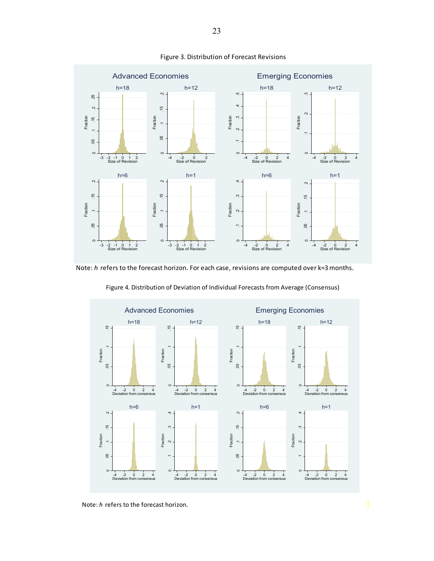

#### Figure 3. Distribution of Forecast Revisions

Note: *h* refers to the forecast horizon. For each case, revisions are computed over k=3 months.



Figure 4. Distribution of Deviation of Individual Forecasts from Average (Consensus)

Note: *h* refers to the forecast horizon.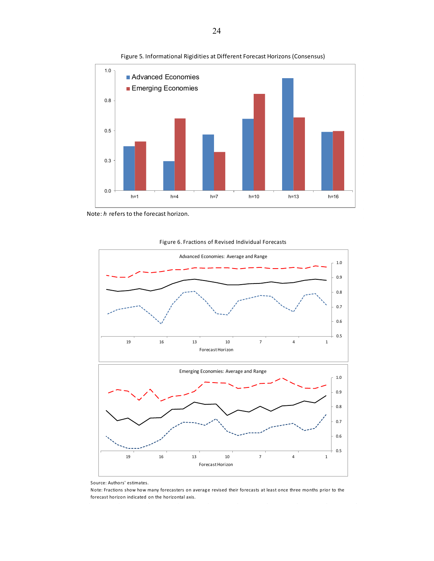

Figure 5. Informational Rigidities at Different Forecast Horizons (Consensus)



Figure 6. Fractions of Revised Individual Forecasts

Note: Fractions show how many forecasters on average revised their forecasts at least once three months prior to the forecast horizon indicated on the horizontal axis.

Note: *h* refers to the forecast horizon.

Source: Authors' estimates.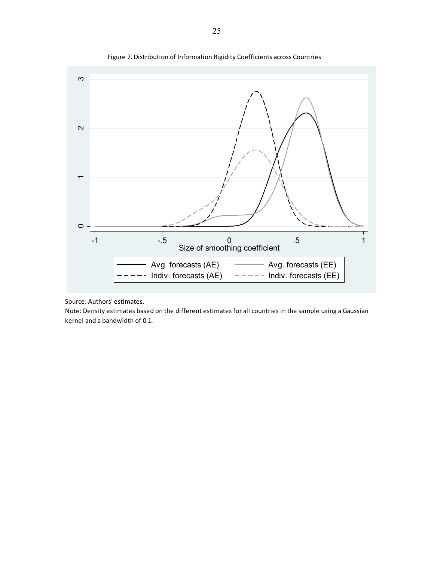

Figure 7. Distribution of Information Rigidity Coefficients across Countries

Source: Authors' estimates.

Note: Density estimates based on the different estimates for all countries in the sample using a Gaussian kernel and a bandwidth of 0.1.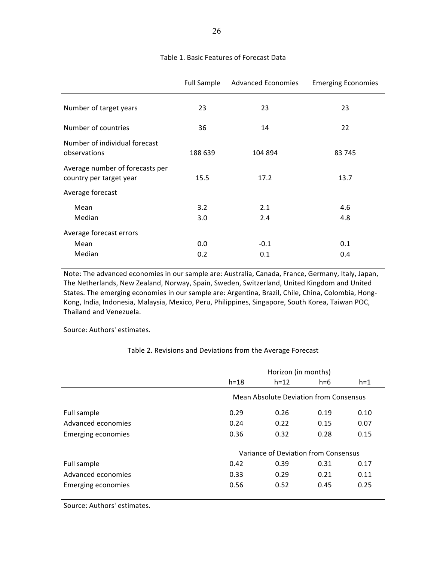|                                                            | Full Sample | <b>Advanced Economies</b> | <b>Emerging Economies</b> |  |  |
|------------------------------------------------------------|-------------|---------------------------|---------------------------|--|--|
| Number of target years                                     | 23          | 23                        | 23                        |  |  |
| Number of countries                                        | 36          | 14                        | 22                        |  |  |
| Number of individual forecast<br>observations              | 188 639     | 104 894                   | 83 745                    |  |  |
| Average number of forecasts per<br>country per target year | 15.5        | 17.2                      | 13.7                      |  |  |
| Average forecast                                           |             |                           |                           |  |  |
| Mean                                                       | 3.2         | 2.1                       | 4.6                       |  |  |
| Median                                                     | 3.0         | 2.4                       | 4.8                       |  |  |
| Average forecast errors                                    |             |                           |                           |  |  |
| Mean                                                       | 0.0         | $-0.1$                    | 0.1                       |  |  |
| Median                                                     | 0.2         | 0.1                       | 0.4                       |  |  |

#### Table 1. Basic Features of Forecast Data

Note: The advanced economies in our sample are: Australia, Canada, France, Germany, Italy, Japan, The Netherlands, New Zealand, Norway, Spain, Sweden, Switzerland, United Kingdom and United States. The emerging economies in our sample are: Argentina, Brazil, Chile, China, Colombia, Hong-Kong, India, Indonesia, Malaysia, Mexico, Peru, Philippines, Singapore, South Korea, Taiwan POC, Thailand and Venezuela.

Source: Authors' estimates.

Table 2. Revisions and Deviations from the Average Forecast

|                           | Horizon (in months) |                                        |       |       |  |  |  |
|---------------------------|---------------------|----------------------------------------|-------|-------|--|--|--|
|                           | $h = 18$            | $h = 12$                               | $h=6$ | $h=1$ |  |  |  |
|                           |                     | Mean Absolute Deviation from Consensus |       |       |  |  |  |
| Full sample               | 0.29                | 0.26                                   | 0.19  | 0.10  |  |  |  |
| Advanced economies        | 0.24                | 0.22                                   | 0.15  | 0.07  |  |  |  |
| <b>Emerging economies</b> | 0.36                | 0.32                                   | 0.28  | 0.15  |  |  |  |
|                           |                     | Variance of Deviation from Consensus   |       |       |  |  |  |
| Full sample               | 0.42                | 0.39                                   | 0.31  | 0.17  |  |  |  |
| Advanced economies        | 0.33                | 0.29                                   | 0.21  | 0.11  |  |  |  |
| Emerging economies        | 0.56                | 0.52                                   | 0.45  | 0.25  |  |  |  |
|                           |                     |                                        |       |       |  |  |  |

Source: Authors' estimates.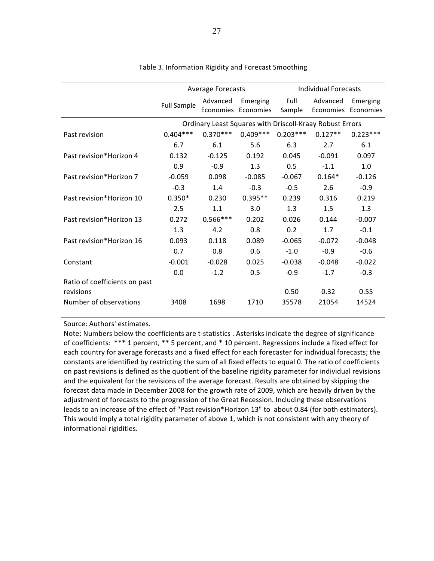|                                            |                                                          | <b>Average Forecasts</b> |                                 | Individual Forecasts |                                 |            |  |
|--------------------------------------------|----------------------------------------------------------|--------------------------|---------------------------------|----------------------|---------------------------------|------------|--|
|                                            | <b>Full Sample</b>                                       | Advanced                 | Emerging<br>Economies Economies | Full<br>Sample       | Advanced<br>Economies Economies | Emerging   |  |
|                                            | Ordinary Least Squares with Driscoll-Kraay Robust Errors |                          |                                 |                      |                                 |            |  |
| Past revision                              | $0.404***$                                               | $0.370***$               | $0.409***$                      | $0.203***$           | $0.127**$                       | $0.223***$ |  |
|                                            | 6.7                                                      | 6.1                      | 5.6                             | 6.3                  | 2.7                             | 6.1        |  |
| Past revision*Horizon 4                    | 0.132                                                    | $-0.125$                 | 0.192                           | 0.045                | $-0.091$                        | 0.097      |  |
|                                            | 0.9                                                      | $-0.9$                   | 1.3                             | 0.5                  | $-1.1$                          | 1.0        |  |
| Past revision*Horizon 7                    | $-0.059$                                                 | 0.098                    | $-0.085$                        | $-0.067$             | $0.164*$                        | $-0.126$   |  |
|                                            | $-0.3$                                                   | 1.4                      | $-0.3$                          | $-0.5$               | 2.6                             | $-0.9$     |  |
| Past revision*Horizon 10                   | $0.350*$                                                 | 0.230                    | $0.395**$                       | 0.239                | 0.316                           | 0.219      |  |
|                                            | 2.5                                                      | 1.1                      | 3.0                             | 1.3                  | 1.5                             | 1.3        |  |
| Past revision*Horizon 13                   | 0.272                                                    | $0.566***$               | 0.202                           | 0.026                | 0.144                           | $-0.007$   |  |
|                                            | 1.3                                                      | 4.2                      | 0.8                             | 0.2                  | 1.7                             | $-0.1$     |  |
| Past revision*Horizon 16                   | 0.093                                                    | 0.118                    | 0.089                           | $-0.065$             | $-0.072$                        | $-0.048$   |  |
|                                            | 0.7                                                      | 0.8                      | 0.6                             | $-1.0$               | $-0.9$                          | $-0.6$     |  |
| Constant                                   | $-0.001$                                                 | $-0.028$                 | 0.025                           | $-0.038$             | $-0.048$                        | $-0.022$   |  |
|                                            | 0.0                                                      | $-1.2$                   | 0.5                             | $-0.9$               | $-1.7$                          | $-0.3$     |  |
| Ratio of coefficients on past<br>revisions |                                                          |                          |                                 | 0.50                 | 0.32                            | 0.55       |  |
| Number of observations                     | 3408                                                     | 1698                     | 1710                            | 35578                | 21054                           | 14524      |  |

# Table 3. Information Rigidity and Forecast Smoothing

Source: Authors' estimates.

Note: Numbers below the coefficients are t-statistics . Asterisks indicate the degree of significance of coefficients: \*\*\* 1 percent, \*\* 5 percent, and \* 10 percent. Regressions include a fixed effect for each country for average forecasts and a fixed effect for each forecaster for individual forecasts; the constants are identified by restricting the sum of all fixed effects to equal 0. The ratio of coefficients on past revisions is defined as the quotient of the baseline rigidity parameter for individual revisions and the equivalent for the revisions of the average forecast. Results are obtained by skipping the forecast data made in December 2008 for the growth rate of 2009, which are heavily driven by the adjustment of forecasts to the progression of the Great Recession. Including these observations leads to an increase of the effect of "Past revision\*Horizon 13" to about 0.84 (for both estimators). This would imply a total rigidity parameter of above 1, which is not consistent with any theory of informational rigidities.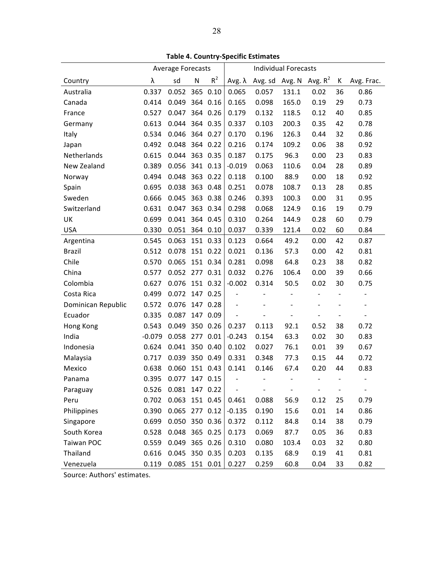|                    | <b>Average Forecasts</b> |                  |          |          | <b>Individual Forecasts</b> |                           |                |        |    |            |
|--------------------|--------------------------|------------------|----------|----------|-----------------------------|---------------------------|----------------|--------|----|------------|
| Country            | λ                        | sd               | N        | $R^2$    | Aνg. $λ$                    | Avg. sd Avg. N Avg. $R^2$ |                |        | К  | Avg. Frac. |
| Australia          | 0.337                    | 0.052 365 0.10   |          |          | 0.065                       | 0.057                     | 131.1          | 0.02   | 36 | 0.86       |
| Canada             | 0.414                    | 0.049            |          | 364 0.16 | 0.165                       | 0.098                     | 165.0          | 0.19   | 29 | 0.73       |
| France             | 0.527                    | 0.047            |          | 364 0.26 | 0.179                       | 0.132                     | 118.5          | 0.12   | 40 | 0.85       |
| Germany            | 0.613                    | 0.044            |          | 364 0.35 | 0.337                       | 0.103                     | 200.3          | 0.35   | 42 | 0.78       |
| Italy              | 0.534                    | 0.046            |          | 364 0.27 | 0.170                       | 0.196                     | 126.3          | 0.44   | 32 | 0.86       |
| Japan              | 0.492                    | 0.048            |          | 364 0.22 | 0.216                       | 0.174                     | 109.2          | 0.06   | 38 | 0.92       |
| Netherlands        | 0.615                    | 0.044            |          | 363 0.35 | 0.187                       | 0.175                     | 96.3           | 0.00   | 23 | 0.83       |
| New Zealand        | 0.389                    | 0.056            |          | 341 0.13 | $-0.019$                    | 0.063                     | 110.6          | 0.04   | 28 | 0.89       |
| Norway             | 0.494                    | 0.048            |          | 363 0.22 | 0.118                       | 0.100                     | 88.9           | 0.00   | 18 | 0.92       |
| Spain              | 0.695                    | 0.038            |          | 363 0.48 | 0.251                       | 0.078                     | 108.7          | 0.13   | 28 | 0.85       |
| Sweden             | 0.666                    | 0.045            |          | 363 0.38 | 0.246                       | 0.393                     | 100.3          | 0.00   | 31 | 0.95       |
| Switzerland        | 0.631                    | 0.047            |          | 363 0.34 | 0.298                       | 0.068                     | 124.9          | 0.16   | 19 | 0.79       |
| UK                 | 0.699                    | 0.041            | 364 0.45 |          | 0.310                       | 0.264                     | 144.9          | 0.28   | 60 | 0.79       |
| <b>USA</b>         | 0.330                    | 0.051            |          | 364 0.10 | 0.037                       | 0.339                     | 121.4          | 0.02   | 60 | 0.84       |
| Argentina          | 0.545                    | 0.063            |          | 151 0.33 | 0.123                       | 0.664                     | 49.2           | 0.00   | 42 | 0.87       |
| <b>Brazil</b>      | 0.512                    | 0.078            |          | 151 0.22 | 0.021                       | 0.136                     | 57.3           | 0.00   | 42 | 0.81       |
| Chile              | 0.570                    | 0.065            |          | 151 0.34 | 0.281                       | 0.098                     | 64.8           | 0.23   | 38 | 0.82       |
| China              | 0.577                    | 0.052 277 0.31   |          |          | 0.032                       | 0.276                     | 106.4          | 0.00   | 39 | 0.66       |
| Colombia           | 0.627                    | 0.076            |          | 151 0.32 | $-0.002$                    | 0.314                     | 50.5           | 0.02   | 30 | 0.75       |
| Costa Rica         | 0.499                    | 0.072            | 147 0.25 |          |                             |                           |                |        |    |            |
| Dominican Republic | 0.572                    | 0.076            |          | 147 0.28 |                             |                           |                |        |    |            |
| Ecuador            | 0.335                    | 0.087            |          | 147 0.09 |                             |                           |                |        |    |            |
| Hong Kong          | 0.543                    | 0.049            |          | 350 0.26 | 0.237                       | 0.113                     | 92.1           | 0.52   | 38 | 0.72       |
| India              | $-0.079$                 | 0.058            |          | 277 0.01 | $-0.243$                    | 0.154                     | 63.3           | 0.02   | 30 | 0.83       |
| Indonesia          | 0.624                    | 0.041            |          | 350 0.40 | 0.102                       | 0.027                     | 76.1           | 0.01   | 39 | 0.67       |
| Malaysia           | 0.717                    | 0.039            |          | 350 0.49 | 0.331                       | 0.348                     | 77.3           | 0.15   | 44 | 0.72       |
| Mexico             | 0.638                    | 0.060            | 151 0.43 |          | 0.141                       | 0.146                     | 67.4           | 0.20   | 44 | 0.83       |
| Panama             | 0.395                    | $0.077$ 147 0.15 |          |          | $\overline{\phantom{a}}$    | $\sim$                    | $\blacksquare$ | $\sim$ |    |            |
| Paraguay           | 0.526                    | 0.081 147 0.22   |          |          |                             |                           |                |        |    |            |
| Peru               | 0.702                    | 0.063 151 0.45   |          |          | 0.461                       | 0.088                     | 56.9           | 0.12   | 25 | 0.79       |
| Philippines        | 0.390                    | 0.065 277 0.12   |          |          | $-0.135$                    | 0.190                     | 15.6           | 0.01   | 14 | 0.86       |
| Singapore          | 0.699                    | 0.050 350 0.36   |          |          | 0.372                       | 0.112                     | 84.8           | 0.14   | 38 | 0.79       |
| South Korea        | 0.528                    | 0.048            | 365 0.25 |          | 0.173                       | 0.069                     | 87.7           | 0.05   | 36 | 0.83       |
| Taiwan POC         | 0.559                    | 0.049            |          | 365 0.26 | 0.310                       | 0.080                     | 103.4          | 0.03   | 32 | 0.80       |
| Thailand           | 0.616                    | 0.045            |          | 350 0.35 | 0.203                       | 0.135                     | 68.9           | 0.19   | 41 | 0.81       |
| Venezuela          | 0.119                    | 0.085 151 0.01   |          |          | 0.227                       | 0.259                     | 60.8           | 0.04   | 33 | 0.82       |

Source: Authors' estimates.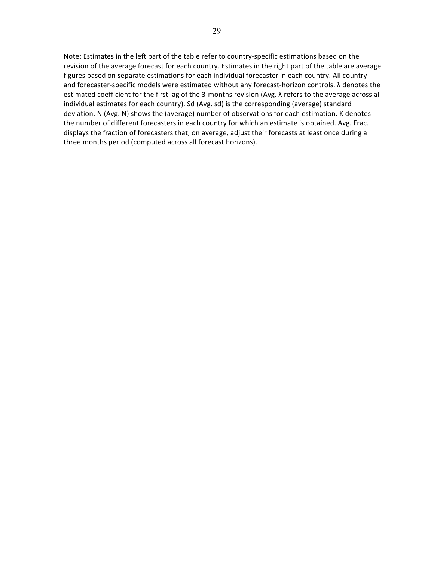Note: Estimates in the left part of the table refer to country-specific estimations based on the revision of the average forecast for each country. Estimates in the right part of the table are average figures based on separate estimations for each individual forecaster in each country. All countryand forecaster-specific models were estimated without any forecast-horizon controls.  $\lambda$  denotes the estimated coefficient for the first lag of the 3-months revision (Avg.  $\lambda$  refers to the average across all individual estimates for each country). Sd (Avg. sd) is the corresponding (average) standard deviation. N (Avg. N) shows the (average) number of observations for each estimation. K denotes the number of different forecasters in each country for which an estimate is obtained. Avg. Frac. displays the fraction of forecasters that, on average, adjust their forecasts at least once during a three months period (computed across all forecast horizons).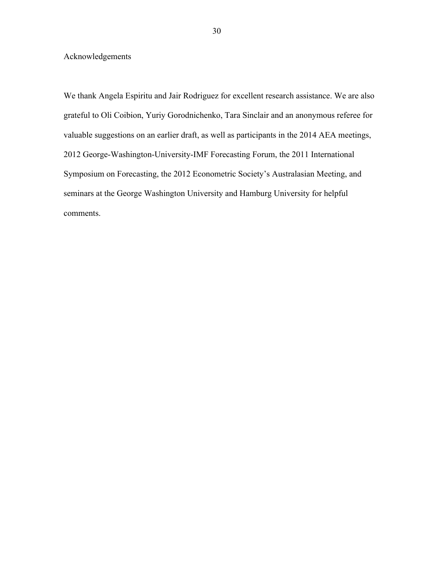Acknowledgements

We thank Angela Espiritu and Jair Rodriguez for excellent research assistance. We are also grateful to Oli Coibion, Yuriy Gorodnichenko, Tara Sinclair and an anonymous referee for valuable suggestions on an earlier draft, as well as participants in the 2014 AEA meetings, 2012 George-Washington-University-IMF Forecasting Forum, the 2011 International Symposium on Forecasting, the 2012 Econometric Society's Australasian Meeting, and seminars at the George Washington University and Hamburg University for helpful comments.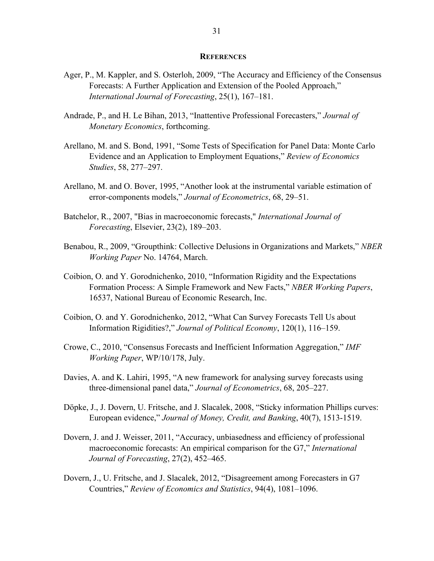#### **REFERENCES**

- Ager, P., M. Kappler, and S. Osterloh, 2009, "The Accuracy and Efficiency of the Consensus Forecasts: A Further Application and Extension of the Pooled Approach," *International Journal of Forecasting*, 25(1), 167–181.
- Andrade, P., and H. Le Bihan, 2013, "Inattentive Professional Forecasters," *Journal of Monetary Economics*, forthcoming.
- Arellano, M. and S. Bond, 1991, "Some Tests of Specification for Panel Data: Monte Carlo Evidence and an Application to Employment Equations," *Review of Economics Studies*, 58, 277–297.
- Arellano, M. and O. Bover, 1995, "Another look at the instrumental variable estimation of error-components models," *Journal of Econometrics*, 68, 29–51.
- Batchelor, R., 2007, "Bias in macroeconomic forecasts," *International Journal of Forecasting*, Elsevier, 23(2), 189–203.
- Benabou, R., 2009, "Groupthink: Collective Delusions in Organizations and Markets," *NBER Working Paper* No. 14764, March.
- Coibion, O. and Y. Gorodnichenko, 2010, "Information Rigidity and the Expectations Formation Process: A Simple Framework and New Facts," *NBER Working Papers*, 16537, National Bureau of Economic Research, Inc.
- Coibion, O. and Y. Gorodnichenko, 2012, "What Can Survey Forecasts Tell Us about Information Rigidities?," *Journal of Political Economy*, 120(1), 116–159.
- Crowe, C., 2010, "Consensus Forecasts and Inefficient Information Aggregation," *IMF Working Paper*, WP/10/178, July.
- Davies, A. and K. Lahiri, 1995, "A new framework for analysing survey forecasts using three-dimensional panel data," *Journal of Econometrics*, 68, 205–227.
- Döpke, J., J. Dovern, U. Fritsche, and J. Slacalek, 2008, "Sticky information Phillips curves: European evidence," *Journal of Money, Credit, and Banking*, 40(7), 1513-1519.
- Dovern, J. and J. Weisser, 2011, "Accuracy, unbiasedness and efficiency of professional macroeconomic forecasts: An empirical comparison for the G7," *International Journal of Forecasting*, 27(2), 452–465.
- Dovern, J., U. Fritsche, and J. Slacalek, 2012, "Disagreement among Forecasters in G7 Countries," *Review of Economics and Statistics*, 94(4), 1081–1096.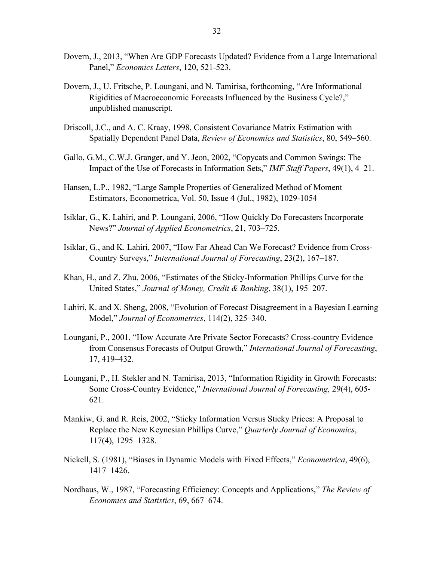- Dovern, J., 2013, "When Are GDP Forecasts Updated? Evidence from a Large International Panel," *Economics Letters*, 120, 521-523.
- Dovern, J., U. Fritsche, P. Loungani, and N. Tamirisa, forthcoming, "Are Informational Rigidities of Macroeconomic Forecasts Influenced by the Business Cycle?," unpublished manuscript.
- Driscoll, J.C., and A. C. Kraay, 1998, Consistent Covariance Matrix Estimation with Spatially Dependent Panel Data, *Review of Economics and Statistics*, 80, 549–560.
- Gallo, G.M., C.W.J. Granger, and Y. Jeon, 2002, "Copycats and Common Swings: The Impact of the Use of Forecasts in Information Sets," *IMF Staff Papers*, 49(1), 4–21.
- Hansen, L.P., 1982, "Large Sample Properties of Generalized Method of Moment Estimators, Econometrica, Vol. 50, Issue 4 (Jul., 1982), 1029-1054
- Isiklar, G., K. Lahiri, and P. Loungani, 2006, "How Quickly Do Forecasters Incorporate News?" *Journal of Applied Econometrics*, 21, 703–725.
- Isiklar, G., and K. Lahiri, 2007, "How Far Ahead Can We Forecast? Evidence from Cross-Country Surveys," *International Journal of Forecasting*, 23(2), 167–187.
- Khan, H., and Z. Zhu, 2006, "Estimates of the Sticky-Information Phillips Curve for the United States," *Journal of Money, Credit & Banking*, 38(1), 195–207.
- Lahiri, K. and X. Sheng, 2008, "Evolution of Forecast Disagreement in a Bayesian Learning Model," *Journal of Econometrics*, 114(2), 325–340.
- Loungani, P., 2001, "How Accurate Are Private Sector Forecasts? Cross-country Evidence from Consensus Forecasts of Output Growth," *International Journal of Forecasting*, 17, 419–432.
- Loungani, P., H. Stekler and N. Tamirisa, 2013, "Information Rigidity in Growth Forecasts: Some Cross-Country Evidence," *International Journal of Forecasting,* 29(4), 605- 621.
- Mankiw, G. and R. Reis, 2002, "Sticky Information Versus Sticky Prices: A Proposal to Replace the New Keynesian Phillips Curve," *Quarterly Journal of Economics*, 117(4), 1295–1328.
- Nickell, S. (1981), "Biases in Dynamic Models with Fixed Effects," *Econometrica*, 49(6), 1417–1426.
- Nordhaus, W., 1987, "Forecasting Efficiency: Concepts and Applications," *The Review of Economics and Statistics*, 69, 667–674.